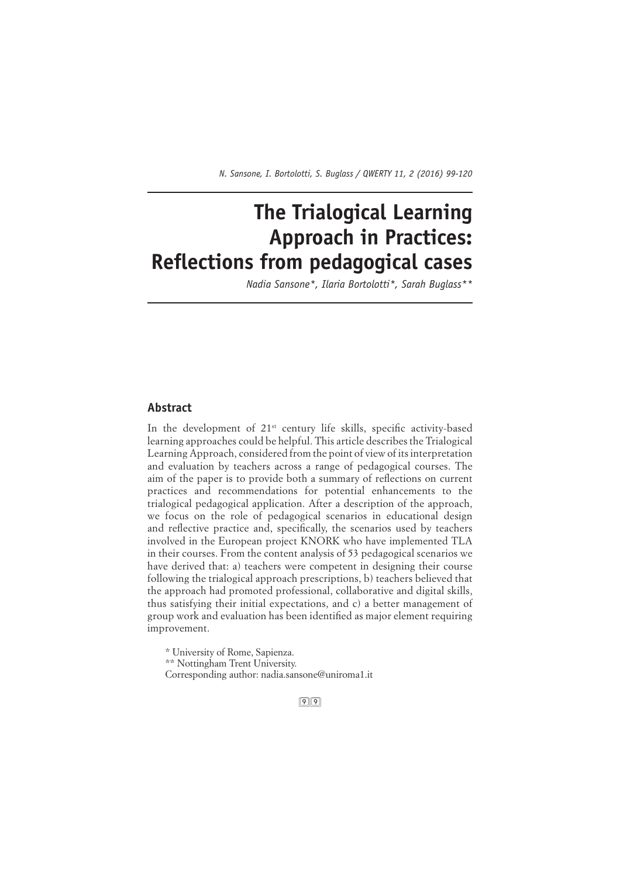# **The Trialogical Learning Approach in Practices: Reflections from pedagogical cases**

*Nadia Sansone\*, Ilaria Bortolotti\*, Sarah Buglass\*\**

## **Abstract**

In the development of  $21^{st}$  century life skills, specific activity-based learning approaches could be helpful. This article describes the Trialogical Learning Approach, considered from the point of view of its interpretation and evaluation by teachers across a range of pedagogical courses. The aim of the paper is to provide both a summary of reflections on current practices and recommendations for potential enhancements to the trialogical pedagogical application. After a description of the approach, we focus on the role of pedagogical scenarios in educational design and reflective practice and, specifically, the scenarios used by teachers involved in the European project KNORK who have implemented TLA in their courses. From the content analysis of 53 pedagogical scenarios we have derived that: a) teachers were competent in designing their course following the trialogical approach prescriptions, b) teachers believed that the approach had promoted professional, collaborative and digital skills, thus satisfying their initial expectations, and c) a better management of group work and evaluation has been identified as major element requiring improvement.

\* University of Rome, Sapienza.

\*\* Nottingham Trent University.

Corresponding author: nadia.sansone@uniroma1.it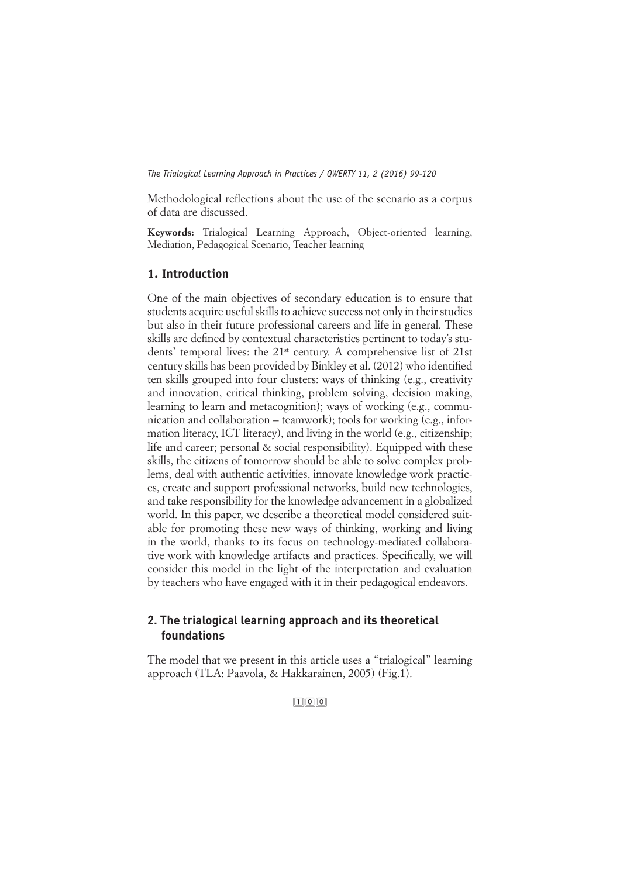Methodological reflections about the use of the scenario as a corpus of data are discussed.

**Keywords:** Trialogical Learning Approach, Object-oriented learning, Mediation, Pedagogical Scenario, Teacher learning

## **1. Introduction**

One of the main objectives of secondary education is to ensure that students acquire useful skills to achieve success not only in their studies but also in their future professional careers and life in general. These skills are defined by contextual characteristics pertinent to today's students' temporal lives: the 21st century. A comprehensive list of 21st century skills has been provided by Binkley et al. (2012) who identified ten skills grouped into four clusters: ways of thinking (e.g., creativity and innovation, critical thinking, problem solving, decision making, learning to learn and metacognition); ways of working (e.g., communication and collaboration – teamwork); tools for working (e.g., information literacy, ICT literacy), and living in the world (e.g., citizenship; life and career; personal & social responsibility). Equipped with these skills, the citizens of tomorrow should be able to solve complex problems, deal with authentic activities, innovate knowledge work practices, create and support professional networks, build new technologies, and take responsibility for the knowledge advancement in a globalized world. In this paper, we describe a theoretical model considered suitable for promoting these new ways of thinking, working and living in the world, thanks to its focus on technology-mediated collaborative work with knowledge artifacts and practices. Specifically, we will consider this model in the light of the interpretation and evaluation by teachers who have engaged with it in their pedagogical endeavors.

# **2. The trialogical learning approach and its theoretical foundations**

The model that we present in this article uses a "trialogical" learning approach (TLA: Paavola, & Hakkarainen, 2005) (Fig.1).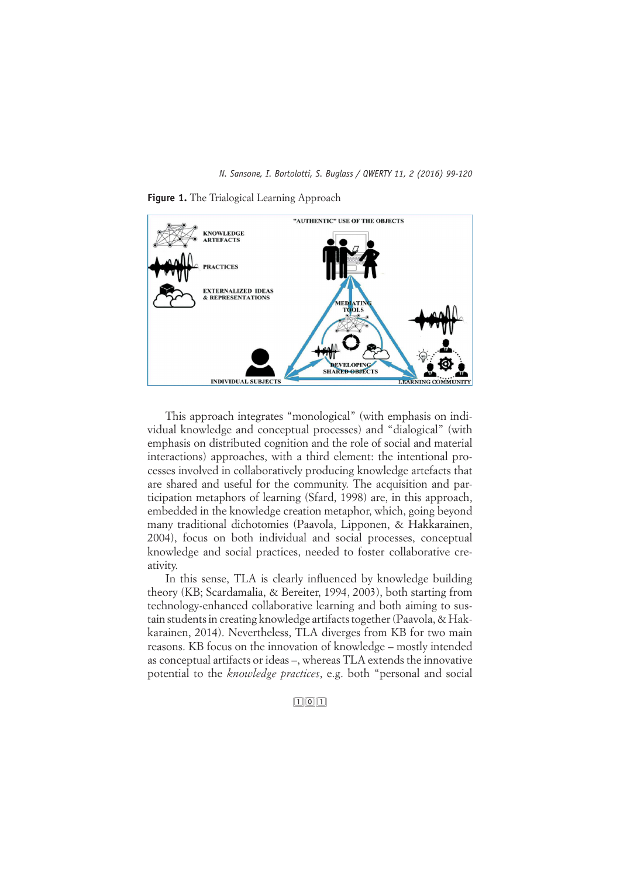

**Figure 1.** The Trialogical Learning Approach

This approach integrates "monological" (with emphasis on individual knowledge and conceptual processes) and "dialogical" (with emphasis on distributed cognition and the role of social and material interactions) approaches, with a third element: the intentional processes involved in collaboratively producing knowledge artefacts that are shared and useful for the community. The acquisition and participation metaphors of learning (Sfard, 1998) are, in this approach, embedded in the knowledge creation metaphor, which, going beyond many traditional dichotomies (Paavola, Lipponen, & Hakkarainen, 2004), focus on both individual and social processes, conceptual knowledge and social practices, needed to foster collaborative creativity.

In this sense, TLA is clearly influenced by knowledge building theory (KB; Scardamalia, & Bereiter, 1994, 2003), both starting from technology-enhanced collaborative learning and both aiming to sustain students in creating knowledge artifacts together (Paavola, & Hakkarainen, 2014). Nevertheless, TLA diverges from KB for two main reasons. KB focus on the innovation of knowledge – mostly intended as conceptual artifacts or ideas –, whereas TLA extends the innovative potential to the *knowledge practices*, e.g. both "personal and social

## $\boxed{\Box\lbrack\Box\lbrack\Box}$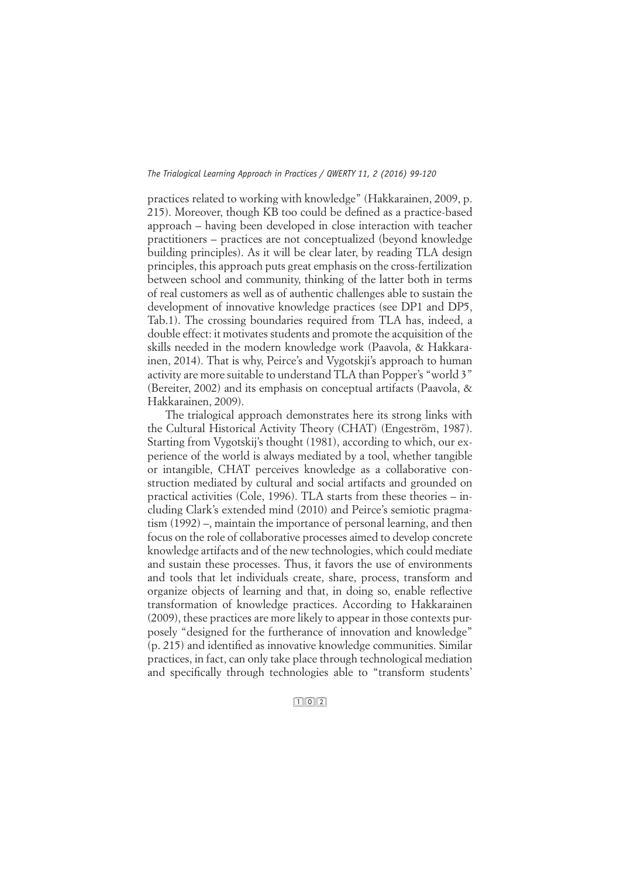practices related to working with knowledge" (Hakkarainen, 2009, p. 215). Moreover, though KB too could be defined as a practice-based approach – having been developed in close interaction with teacher practitioners – practices are not conceptualized (beyond knowledge building principles). As it will be clear later, by reading TLA design principles, this approach puts great emphasis on the cross-fertilization between school and community, thinking of the latter both in terms of real customers as well as of authentic challenges able to sustain the development of innovative knowledge practices (see DP1 and DP5, Tab.1). The crossing boundaries required from TLA has, indeed, a double effect: it motivates students and promote the acquisition of the skills needed in the modern knowledge work (Paavola, & Hakkarainen, 2014). That is why, Peirce's and Vygotskji's approach to human activity are more suitable to understand TLA than Popper's "world 3" (Bereiter, 2002) and its emphasis on conceptual artifacts (Paavola, & Hakkarainen, 2009).

The trialogical approach demonstrates here its strong links with the Cultural Historical Activity Theory (CHAT) (Engeström, 1987). Starting from Vygotskij's thought (1981), according to which, our experience of the world is always mediated by a tool, whether tangible or intangible, CHAT perceives knowledge as a collaborative construction mediated by cultural and social artifacts and grounded on practical activities (Cole, 1996). TLA starts from these theories – including Clark's extended mind (2010) and Peirce's semiotic pragmatism (1992) –, maintain the importance of personal learning, and then focus on the role of collaborative processes aimed to develop concrete knowledge artifacts and of the new technologies, which could mediate and sustain these processes. Thus, it favors the use of environments and tools that let individuals create, share, process, transform and organize objects of learning and that, in doing so, enable reflective transformation of knowledge practices. According to Hakkarainen (2009), these practices are more likely to appear in those contexts purposely "designed for the furtherance of innovation and knowledge"  $(p. 215)$  and identified as innovative knowledge communities. Similar practices, in fact, can only take place through technological mediation and specifically through technologies able to "transform students'

## $\boxed{1}\boxed{0}\boxed{2}$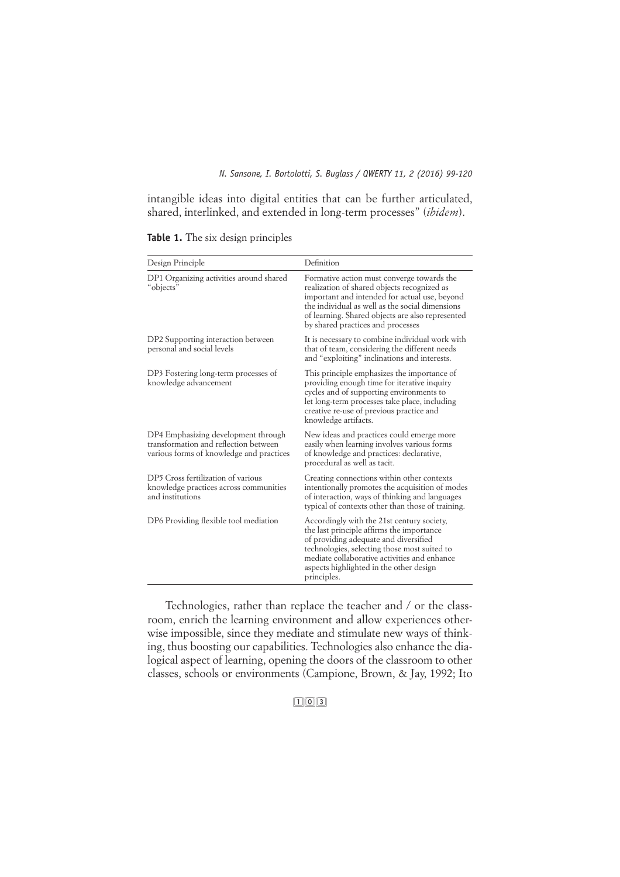intangible ideas into digital entities that can be further articulated, shared, interlinked, and extended in long-term processes" (*ibidem*).

| Design Principle                                                                                                         | Definition                                                                                                                                                                                                                                                                                 |
|--------------------------------------------------------------------------------------------------------------------------|--------------------------------------------------------------------------------------------------------------------------------------------------------------------------------------------------------------------------------------------------------------------------------------------|
| DP1 Organizing activities around shared<br>"objects"                                                                     | Formative action must converge towards the<br>realization of shared objects recognized as<br>important and intended for actual use, beyond<br>the individual as well as the social dimensions<br>of learning. Shared objects are also represented<br>by shared practices and processes     |
| DP2 Supporting interaction between<br>personal and social levels                                                         | It is necessary to combine individual work with<br>that of team, considering the different needs<br>and "exploiting" inclinations and interests.                                                                                                                                           |
| DP3 Fostering long-term processes of<br>knowledge advancement                                                            | This principle emphasizes the importance of<br>providing enough time for iterative inquiry<br>cycles and of supporting environments to<br>let long-term processes take place, including<br>creative re-use of previous practice and<br>knowledge artifacts.                                |
| DP4 Emphasizing development through<br>transformation and reflection between<br>various forms of knowledge and practices | New ideas and practices could emerge more<br>easily when learning involves various forms<br>of knowledge and practices: declarative,<br>procedural as well as tacit.                                                                                                                       |
| DP5 Cross fertilization of various<br>knowledge practices across communities<br>and institutions                         | Creating connections within other contexts<br>intentionally promotes the acquisition of modes<br>of interaction, ways of thinking and languages<br>typical of contexts other than those of training.                                                                                       |
| DP6 Providing flexible tool mediation                                                                                    | Accordingly with the 21st century society,<br>the last principle affirms the importance<br>of providing adequate and diversified<br>technologies, selecting those most suited to<br>mediate collaborative activities and enhance<br>aspects highlighted in the other design<br>principles. |

Technologies, rather than replace the teacher and / or the classroom, enrich the learning environment and allow experiences otherwise impossible, since they mediate and stimulate new ways of thinking, thus boosting our capabilities. Technologies also enhance the dialogical aspect of learning, opening the doors of the classroom to other classes, schools or environments (Campione, Brown, & Jay, 1992; Ito

 $\boxed{1}\boxed{0}\boxed{3}$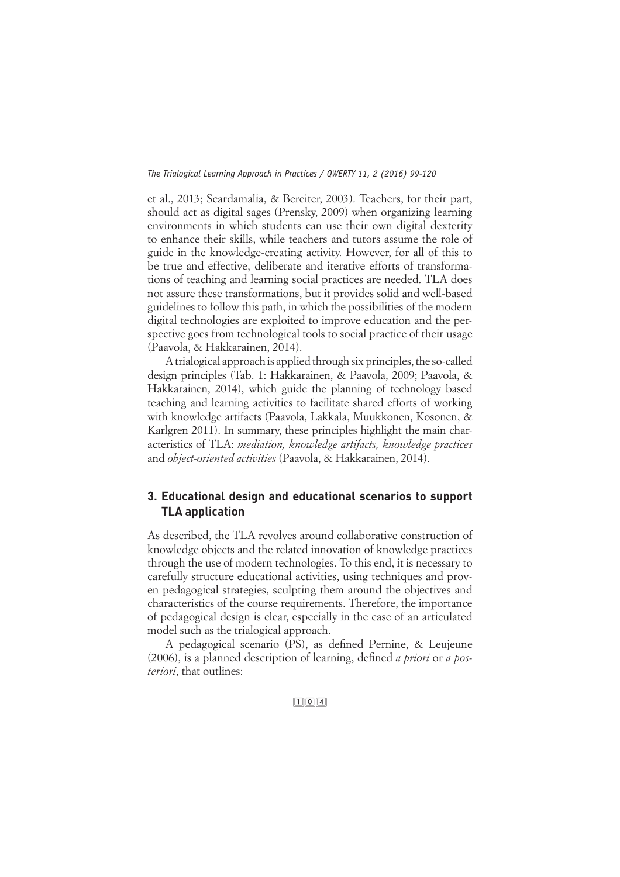et al., 2013; Scardamalia, & Bereiter, 2003). Teachers, for their part, should act as digital sages (Prensky, 2009) when organizing learning environments in which students can use their own digital dexterity to enhance their skills, while teachers and tutors assume the role of guide in the knowledge-creating activity. However, for all of this to be true and effective, deliberate and iterative efforts of transformations of teaching and learning social practices are needed. TLA does not assure these transformations, but it provides solid and well-based guidelines to follow this path, in which the possibilities of the modern digital technologies are exploited to improve education and the perspective goes from technological tools to social practice of their usage (Paavola, & Hakkarainen, 2014).

A trialogical approach is applied through six principles, the so-called design principles (Tab. 1: Hakkarainen, & Paavola, 2009; Paavola, & Hakkarainen, 2014), which guide the planning of technology based teaching and learning activities to facilitate shared efforts of working with knowledge artifacts (Paavola, Lakkala, Muukkonen, Kosonen, & Karlgren 2011). In summary, these principles highlight the main characteristics of TLA: *mediation, knowledge artifacts, knowledge practices*  and *object-oriented activities* (Paavola, & Hakkarainen, 2014).

# **3. Educational design and educational scenarios to support TLA application**

As described, the TLA revolves around collaborative construction of knowledge objects and the related innovation of knowledge practices through the use of modern technologies. To this end, it is necessary to carefully structure educational activities, using techniques and proven pedagogical strategies, sculpting them around the objectives and characteristics of the course requirements. Therefore, the importance of pedagogical design is clear, especially in the case of an articulated model such as the trialogical approach.

A pedagogical scenario (PS), as defined Pernine, & Leujeune (2006), is a planned description of learning, defined *a priori* or *a posteriori*, that outlines:

 $\boxed{1}\boxed{0}\boxed{4}$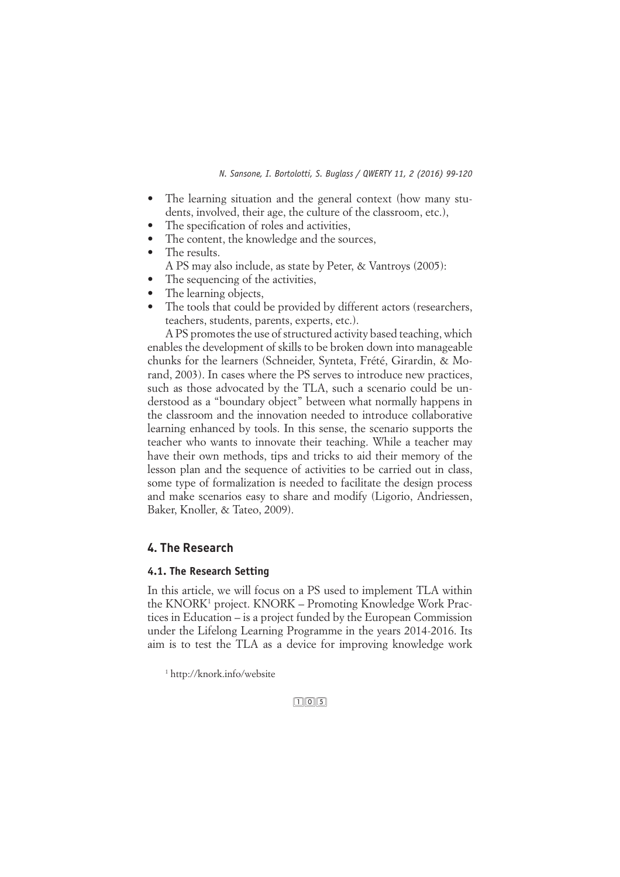- The learning situation and the general context (how many students, involved, their age, the culture of the classroom, etc.),
- The specification of roles and activities,
- The content, the knowledge and the sources,
- The results. A PS may also include, as state by Peter, & Vantroys (2005):
- The sequencing of the activities,
- The learning objects,
- The tools that could be provided by different actors (researchers, teachers, students, parents, experts, etc.).

A PS promotes the use of structured activity based teaching, which enables the development of skills to be broken down into manageable chunks for the learners (Schneider, Synteta, Frété, Girardin, & Morand, 2003). In cases where the PS serves to introduce new practices, such as those advocated by the TLA, such a scenario could be understood as a "boundary object" between what normally happens in the classroom and the innovation needed to introduce collaborative learning enhanced by tools. In this sense, the scenario supports the teacher who wants to innovate their teaching. While a teacher may have their own methods, tips and tricks to aid their memory of the lesson plan and the sequence of activities to be carried out in class, some type of formalization is needed to facilitate the design process and make scenarios easy to share and modify (Ligorio, Andriessen, Baker, Knoller, & Tateo, 2009).

# **4. The Research**

# **4.1. The Research Setting**

In this article, we will focus on a PS used to implement TLA within the KNORK<sup>1</sup> project. KNORK – Promoting Knowledge Work Practices in Education – is a project funded by the European Commission under the Lifelong Learning Programme in the years 2014-2016. Its aim is to test the TLA as a device for improving knowledge work

1 http://knork.info/website

 $\boxed{1}\boxed{0}\boxed{5}$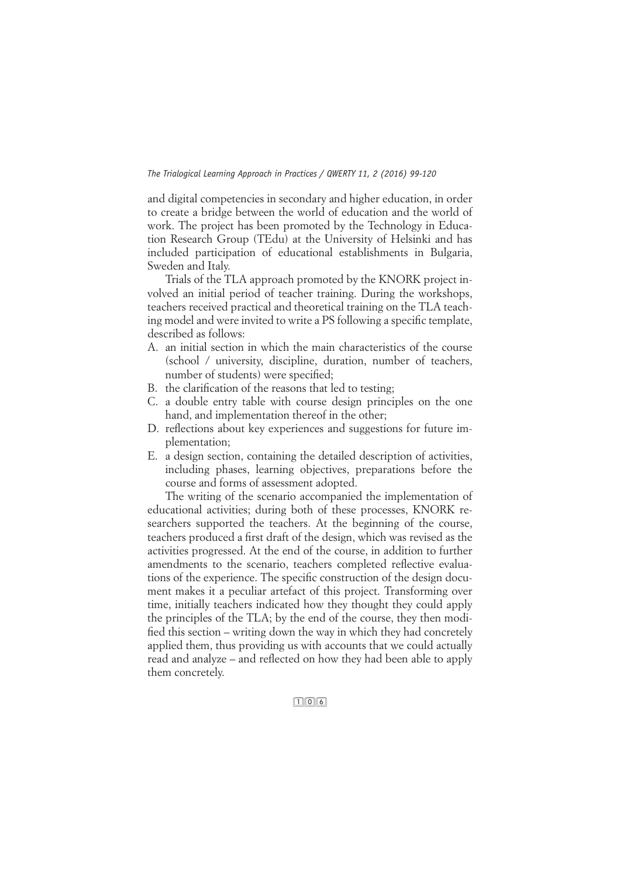and digital competencies in secondary and higher education, in order to create a bridge between the world of education and the world of work. The project has been promoted by the Technology in Education Research Group (TEdu) at the University of Helsinki and has included participation of educational establishments in Bulgaria, Sweden and Italy.

Trials of the TLA approach promoted by the KNORK project involved an initial period of teacher training. During the workshops, teachers received practical and theoretical training on the TLA teaching model and were invited to write a PS following a specific template, described as follows:

- A. an initial section in which the main characteristics of the course (school / university, discipline, duration, number of teachers, number of students) were specified;
- B. the clarification of the reasons that led to testing;
- C. a double entry table with course design principles on the one hand, and implementation thereof in the other;
- D. reflections about key experiences and suggestions for future implementation;
- E. a design section, containing the detailed description of activities, including phases, learning objectives, preparations before the course and forms of assessment adopted.

The writing of the scenario accompanied the implementation of educational activities; during both of these processes, KNORK researchers supported the teachers. At the beginning of the course, teachers produced a first draft of the design, which was revised as the activities progressed. At the end of the course, in addition to further amendments to the scenario, teachers completed reflective evaluations of the experience. The specific construction of the design document makes it a peculiar artefact of this project. Transforming over time, initially teachers indicated how they thought they could apply the principles of the TLA; by the end of the course, they then modified this section – writing down the way in which they had concretely applied them, thus providing us with accounts that we could actually read and analyze – and reflected on how they had been able to apply them concretely.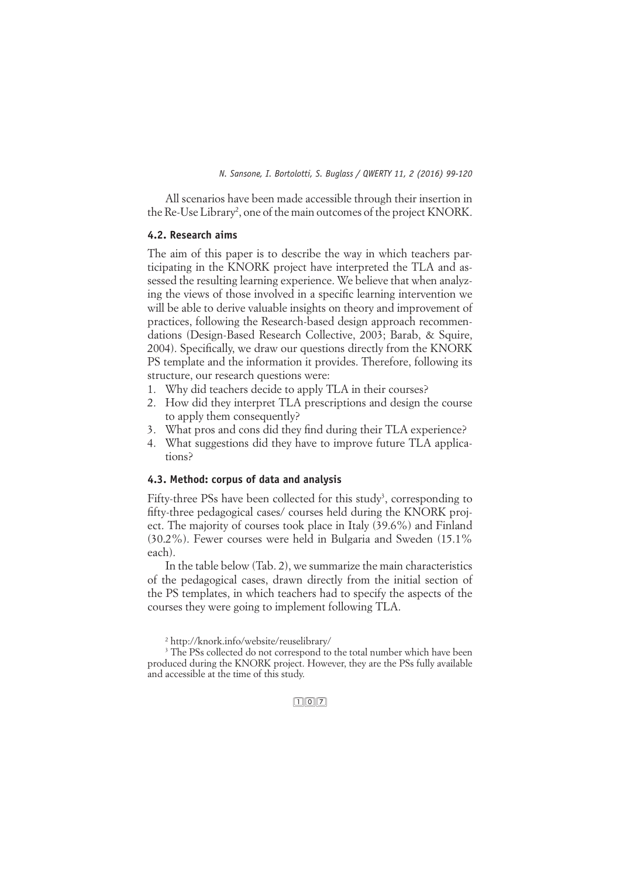All scenarios have been made accessible through their insertion in the Re-Use Library<sup>2</sup>, one of the main outcomes of the project KNORK.

## **4.2. Research aims**

The aim of this paper is to describe the way in which teachers participating in the KNORK project have interpreted the TLA and assessed the resulting learning experience. We believe that when analyzing the views of those involved in a specific learning intervention we will be able to derive valuable insights on theory and improvement of practices, following the Research-based design approach recommendations (Design-Based Research Collective, 2003; Barab, & Squire, 2004). Specifically, we draw our questions directly from the KNORK PS template and the information it provides. Therefore, following its structure, our research questions were:

- 1. Why did teachers decide to apply TLA in their courses?
- 2. How did they interpret TLA prescriptions and design the course to apply them consequently?
- 3. What pros and cons did they find during their TLA experience?
- 4. What suggestions did they have to improve future TLA applications?

#### **4.3. Method: corpus of data and analysis**

Fifty-three PSs have been collected for this study<sup>3</sup>, corresponding to fifty-three pedagogical cases/ courses held during the KNORK project. The majority of courses took place in Italy (39.6%) and Finland (30.2%). Fewer courses were held in Bulgaria and Sweden (15.1% each).

In the table below (Tab. 2), we summarize the main characteristics of the pedagogical cases, drawn directly from the initial section of the PS templates, in which teachers had to specify the aspects of the courses they were going to implement following TLA.

2 http://knork.info/website/reuselibrary/

<sup>3</sup> The PSs collected do not correspond to the total number which have been produced during the KNORK project. However, they are the PSs fully available and accessible at the time of this study.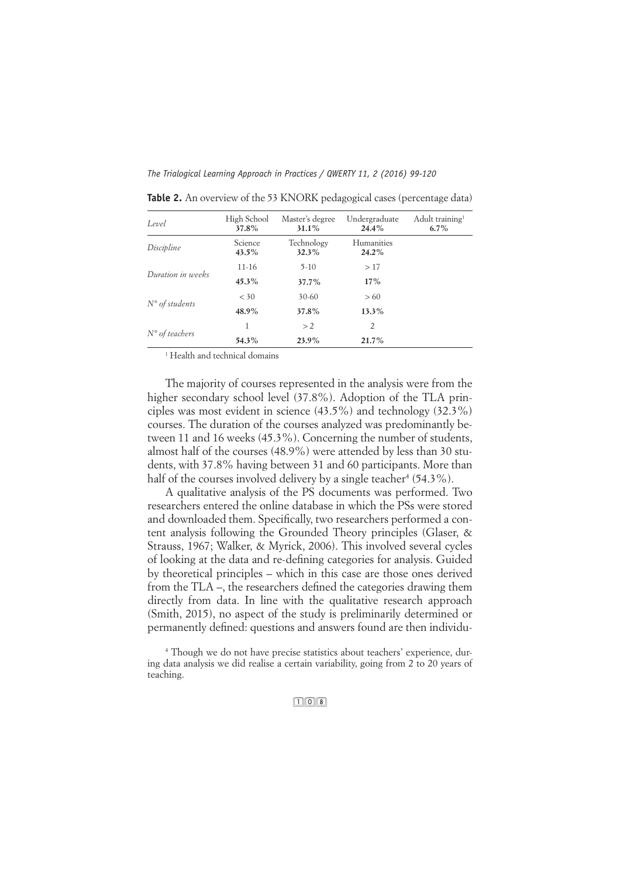| Level                   | High School<br>37.8% | Master's degree<br>31.1% | Undergraduate<br>24.4% | Adult training <sup>1</sup><br>$6.7\%$ |
|-------------------------|----------------------|--------------------------|------------------------|----------------------------------------|
| Discipline              | Science<br>43.5%     | Technology<br>32.3%      | Humanities<br>24.2%    |                                        |
| Duration in weeks       | $11 - 16$            | $5 - 10$                 | >17                    |                                        |
|                         | 45.3%                | 37.7%                    | 17%                    |                                        |
| $N^{\circ}$ of students | < 30                 | $30-60$                  | > 60                   |                                        |
|                         | 48.9%                | 37.8%                    | 13.3%                  |                                        |
| $N^{\circ}$ of teachers | 1                    | >2                       | 2                      |                                        |
|                         | 54.3%                | 23.9%                    | 21.7%                  |                                        |

**Table 2.** An overview of the 53 KNORK pedagogical cases (percentage data)

<sup>1</sup> Health and technical domains

The majority of courses represented in the analysis were from the higher secondary school level (37.8%). Adoption of the TLA principles was most evident in science (43.5%) and technology (32.3%) courses. The duration of the courses analyzed was predominantly between 11 and 16 weeks (45.3%). Concerning the number of students, almost half of the courses (48.9%) were attended by less than 30 students, with 37.8% having between 31 and 60 participants. More than half of the courses involved delivery by a single teacher<sup>4</sup> (54.3%).

A qualitative analysis of the PS documents was performed. Two researchers entered the online database in which the PSs were stored and downloaded them. Specifically, two researchers performed a content analysis following the Grounded Theory principles (Glaser, & Strauss, 1967; Walker, & Myrick, 2006). This involved several cycles of looking at the data and re-defining categories for analysis. Guided by theoretical principles – which in this case are those ones derived from the TLA –, the researchers defined the categories drawing them directly from data. In line with the qualitative research approach (Smith, 2015), no aspect of the study is preliminarily determined or permanently defined: questions and answers found are then individu-

#### $\boxed{1}\boxed{0}\boxed{8}$

<sup>4</sup> Though we do not have precise statistics about teachers' experience, during data analysis we did realise a certain variability, going from 2 to 20 years of teaching.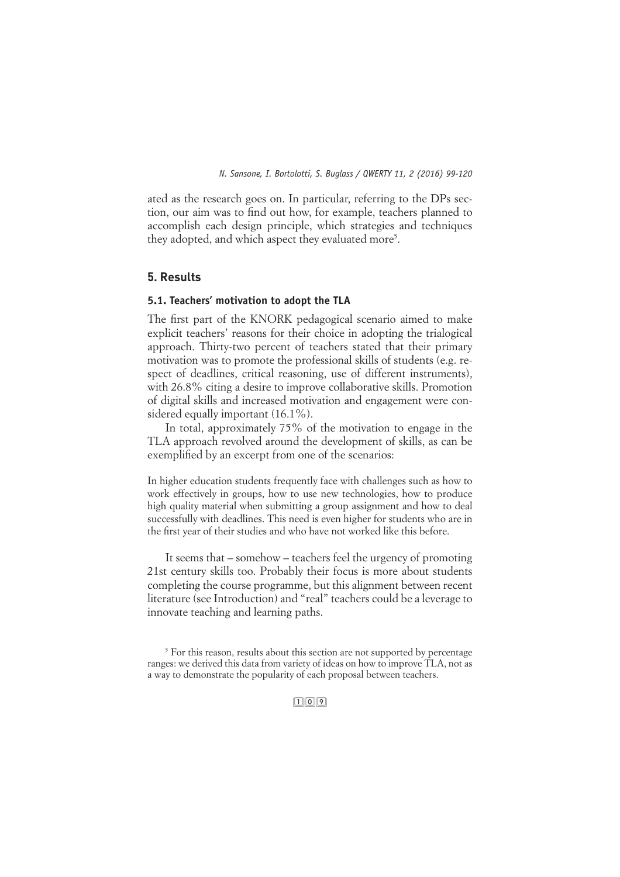ated as the research goes on. In particular, referring to the DPs section, our aim was to find out how, for example, teachers planned to accomplish each design principle, which strategies and techniques they adopted, and which aspect they evaluated more<sup>5</sup> .

## **5. Results**

#### **5.1. Teachers' motivation to adopt the TLA**

The first part of the KNORK pedagogical scenario aimed to make explicit teachers' reasons for their choice in adopting the trialogical approach. Thirty-two percent of teachers stated that their primary motivation was to promote the professional skills of students (e.g. respect of deadlines, critical reasoning, use of different instruments), with 26.8% citing a desire to improve collaborative skills. Promotion of digital skills and increased motivation and engagement were considered equally important (16.1%).

In total, approximately 75% of the motivation to engage in the TLA approach revolved around the development of skills, as can be exemplified by an excerpt from one of the scenarios:

In higher education students frequently face with challenges such as how to work effectively in groups, how to use new technologies, how to produce high quality material when submitting a group assignment and how to deal successfully with deadlines. This need is even higher for students who are in the first year of their studies and who have not worked like this before.

It seems that – somehow – teachers feel the urgency of promoting 21st century skills too. Probably their focus is more about students completing the course programme, but this alignment between recent literature (see Introduction) and "real" teachers could be a leverage to innovate teaching and learning paths.

<sup>5</sup> For this reason, results about this section are not supported by percentage ranges: we derived this data from variety of ideas on how to improve TLA, not as a way to demonstrate the popularity of each proposal between teachers.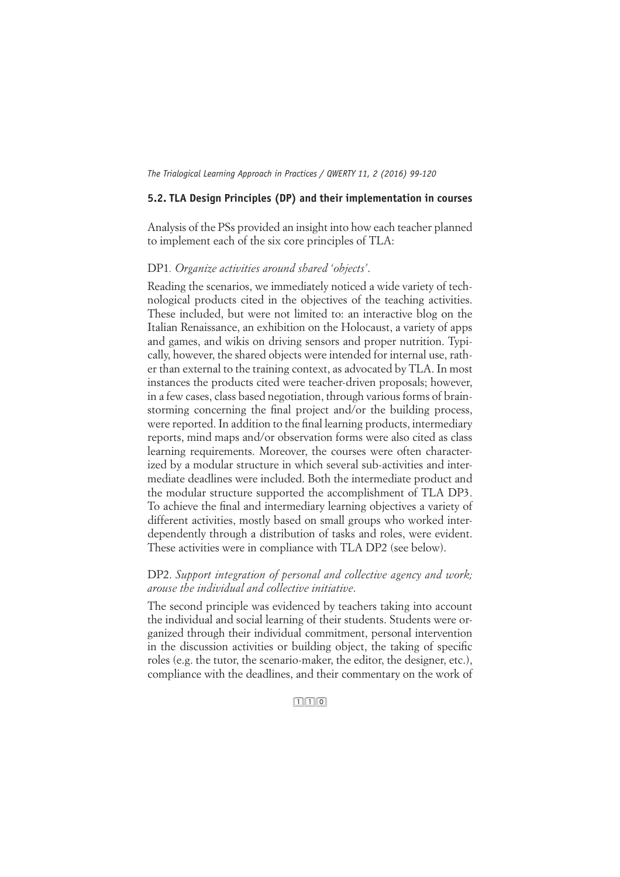## **5.2. TLA Design Principles (DP) and their implementation in courses**

Analysis of the PSs provided an insight into how each teacher planned to implement each of the six core principles of TLA:

#### DP1*. Organize activities around shared 'objects'*.

Reading the scenarios, we immediately noticed a wide variety of technological products cited in the objectives of the teaching activities. These included, but were not limited to: an interactive blog on the Italian Renaissance, an exhibition on the Holocaust, a variety of apps and games, and wikis on driving sensors and proper nutrition. Typically, however, the shared objects were intended for internal use, rather than external to the training context, as advocated by TLA. In most instances the products cited were teacher-driven proposals; however, in a few cases, class based negotiation, through various forms of brainstorming concerning the final project and/or the building process, were reported. In addition to the final learning products, intermediary reports, mind maps and/or observation forms were also cited as class learning requirements. Moreover, the courses were often characterized by a modular structure in which several sub-activities and intermediate deadlines were included. Both the intermediate product and the modular structure supported the accomplishment of TLA DP3. To achieve the final and intermediary learning objectives a variety of different activities, mostly based on small groups who worked interdependently through a distribution of tasks and roles, were evident. These activities were in compliance with TLA DP2 (see below).

# DP2. Support integration of personal and collective agency and work; *arouse the individual and collective initiative*.

The second principle was evidenced by teachers taking into account the individual and social learning of their students. Students were organized through their individual commitment, personal intervention in the discussion activities or building object, the taking of specific roles (e.g. the tutor, the scenario-maker, the editor, the designer, etc.), compliance with the deadlines, and their commentary on the work of

 $\boxed{1}\boxed{1}\boxed{0}$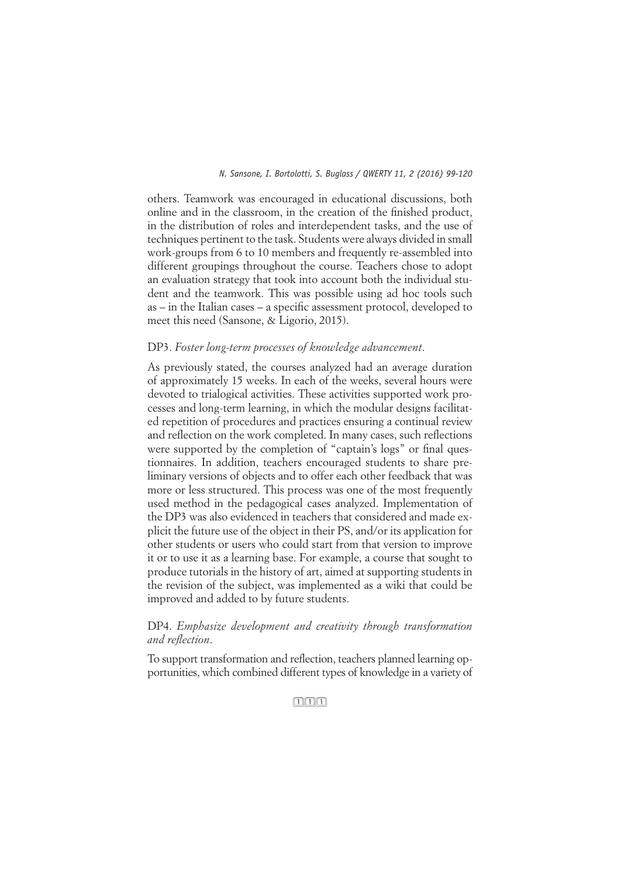others. Teamwork was encouraged in educational discussions, both online and in the classroom, in the creation of the finished product, in the distribution of roles and interdependent tasks, and the use of techniques pertinent to the task. Students were always divided in small work-groups from 6 to 10 members and frequently re-assembled into different groupings throughout the course. Teachers chose to adopt an evaluation strategy that took into account both the individual student and the teamwork. This was possible using ad hoc tools such as – in the Italian cases – a specific assessment protocol, developed to meet this need (Sansone, & Ligorio, 2015).

# DP3. *Foster long-term processes of knowledge advancement*.

As previously stated, the courses analyzed had an average duration of approximately 15 weeks. In each of the weeks, several hours were devoted to trialogical activities. These activities supported work processes and long-term learning, in which the modular designs facilitated repetition of procedures and practices ensuring a continual review and reflection on the work completed. In many cases, such reflections were supported by the completion of "captain's logs" or final questionnaires. In addition, teachers encouraged students to share preliminary versions of objects and to offer each other feedback that was more or less structured. This process was one of the most frequently used method in the pedagogical cases analyzed. Implementation of the DP3 was also evidenced in teachers that considered and made explicit the future use of the object in their PS, and/or its application for other students or users who could start from that version to improve it or to use it as a learning base. For example, a course that sought to produce tutorials in the history of art, aimed at supporting students in the revision of the subject, was implemented as a wiki that could be improved and added to by future students.

# DP4. *Emphasize development and creativity through transformation and refl ection*.

To support transformation and reflection, teachers planned learning opportunities, which combined different types of knowledge in a variety of

 $\Box\Box\Box$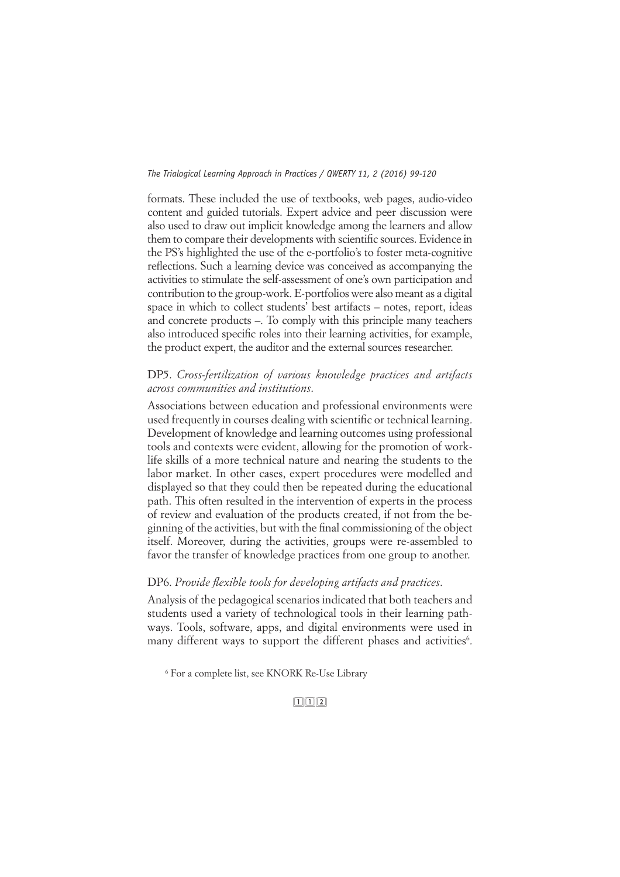formats. These included the use of textbooks, web pages, audio-video content and guided tutorials. Expert advice and peer discussion were also used to draw out implicit knowledge among the learners and allow them to compare their developments with scientific sources. Evidence in the PS's highlighted the use of the e-portfolio's to foster meta-cognitive reflections. Such a learning device was conceived as accompanying the activities to stimulate the self-assessment of one's own participation and contribution to the group-work. E-portfolios were also meant as a digital space in which to collect students' best artifacts – notes, report, ideas and concrete products –. To comply with this principle many teachers also introduced specific roles into their learning activities, for example, the product expert, the auditor and the external sources researcher.

# DP5. *Cross-fertilization of various knowledge practices and artifacts across communities and institutions*.

Associations between education and professional environments were used frequently in courses dealing with scientific or technical learning. Development of knowledge and learning outcomes using professional tools and contexts were evident, allowing for the promotion of worklife skills of a more technical nature and nearing the students to the labor market. In other cases, expert procedures were modelled and displayed so that they could then be repeated during the educational path. This often resulted in the intervention of experts in the process of review and evaluation of the products created, if not from the beginning of the activities, but with the final commissioning of the object itself. Moreover, during the activities, groups were re-assembled to favor the transfer of knowledge practices from one group to another.

# DP6. Provide flexible tools for developing artifacts and practices.

Analysis of the pedagogical scenarios indicated that both teachers and students used a variety of technological tools in their learning pathways. Tools, software, apps, and digital environments were used in many different ways to support the different phases and activities<sup>6</sup>.

6 For a complete list, see KNORK Re-Use Library

# $\boxed{1}\boxed{1}\boxed{2}$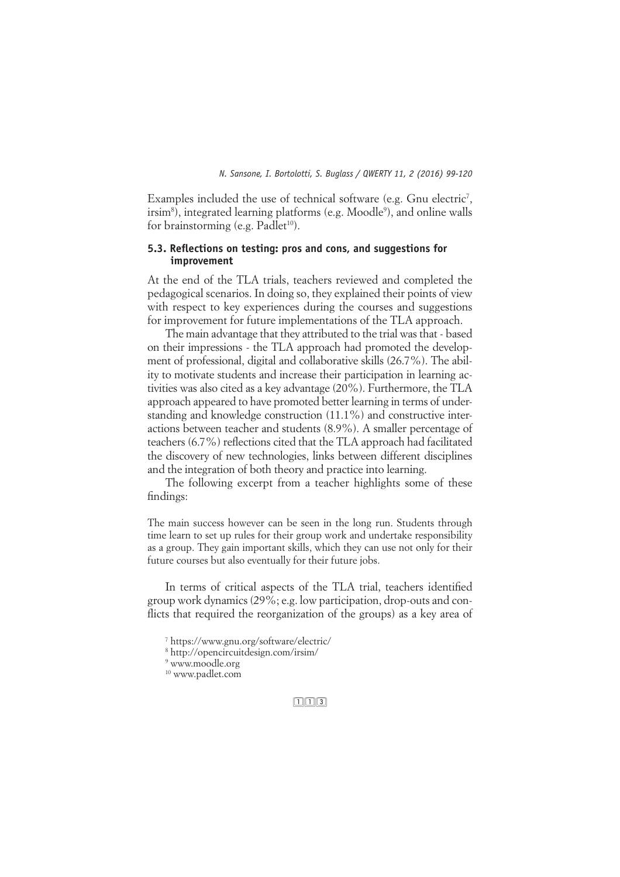Examples included the use of technical software (e.g. Gnu electric<sup>7</sup>, irsim<sup>8</sup>), integrated learning platforms (e.g. Moodle<sup>9</sup>), and online walls for brainstorming (e.g. Padlet<sup>10</sup>).

## **5.3. Refl ections on testing: pros and cons, and suggestions for improvement**

At the end of the TLA trials, teachers reviewed and completed the pedagogical scenarios. In doing so, they explained their points of view with respect to key experiences during the courses and suggestions for improvement for future implementations of the TLA approach.

The main advantage that they attributed to the trial was that - based on their impressions - the TLA approach had promoted the development of professional, digital and collaborative skills (26.7%). The ability to motivate students and increase their participation in learning activities was also cited as a key advantage (20%). Furthermore, the TLA approach appeared to have promoted better learning in terms of understanding and knowledge construction (11.1%) and constructive interactions between teacher and students (8.9%). A smaller percentage of teachers (6.7%) reflections cited that the TLA approach had facilitated the discovery of new technologies, links between different disciplines and the integration of both theory and practice into learning.

The following excerpt from a teacher highlights some of these findings:

The main success however can be seen in the long run. Students through time learn to set up rules for their group work and undertake responsibility as a group. They gain important skills, which they can use not only for their future courses but also eventually for their future jobs.

In terms of critical aspects of the TLA trial, teachers identified group work dynamics (29%; e.g. low participation, drop-outs and conflicts that required the reorganization of the groups) as a key area of

- 9 www.moodle.org
- 10 www.padlet.com

 $\Box$  $\Box$  $\Box$ 3

<sup>7</sup> https://www.gnu.org/software/electric/

<sup>8</sup> http://opencircuitdesign.com/irsim/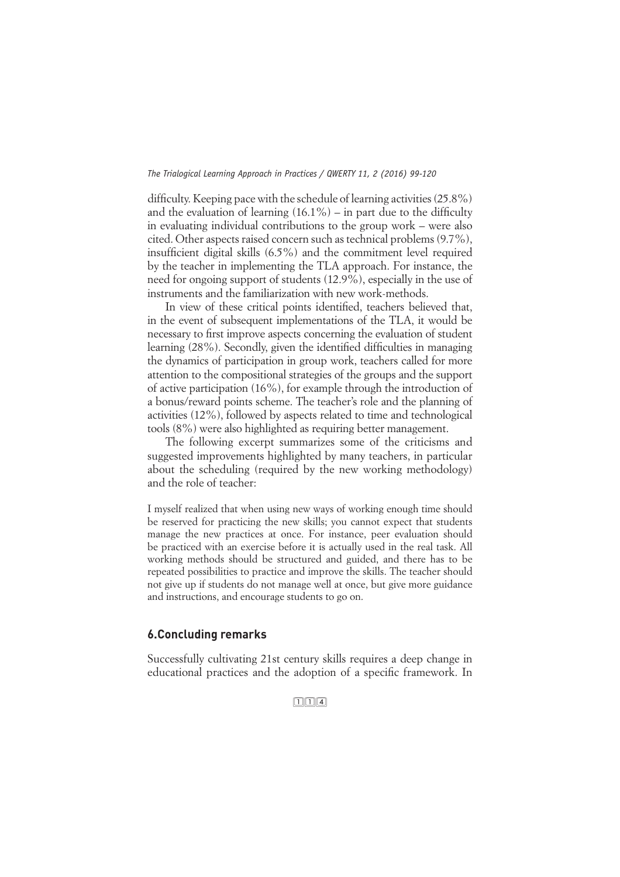difficulty. Keeping pace with the schedule of learning activities  $(25.8\%)$ and the evaluation of learning  $(16.1\%)$  – in part due to the difficulty in evaluating individual contributions to the group work – were also cited. Other aspects raised concern such as technical problems (9.7%), insufficient digital skills  $(6.5\%)$  and the commitment level required by the teacher in implementing the TLA approach. For instance, the need for ongoing support of students (12.9%), especially in the use of instruments and the familiarization with new work-methods.

In view of these critical points identified, teachers believed that, in the event of subsequent implementations of the TLA, it would be necessary to first improve aspects concerning the evaluation of student learning (28%). Secondly, given the identified difficulties in managing the dynamics of participation in group work, teachers called for more attention to the compositional strategies of the groups and the support of active participation (16%), for example through the introduction of a bonus/reward points scheme. The teacher's role and the planning of activities (12%), followed by aspects related to time and technological tools (8%) were also highlighted as requiring better management.

The following excerpt summarizes some of the criticisms and suggested improvements highlighted by many teachers, in particular about the scheduling (required by the new working methodology) and the role of teacher:

I myself realized that when using new ways of working enough time should be reserved for practicing the new skills; you cannot expect that students manage the new practices at once. For instance, peer evaluation should be practiced with an exercise before it is actually used in the real task. All working methods should be structured and guided, and there has to be repeated possibilities to practice and improve the skills. The teacher should not give up if students do not manage well at once, but give more guidance and instructions, and encourage students to go on.

## **6.Concluding remarks**

Successfully cultivating 21st century skills requires a deep change in educational practices and the adoption of a specific framework. In

 $\boxed{1}\boxed{1}\boxed{4}$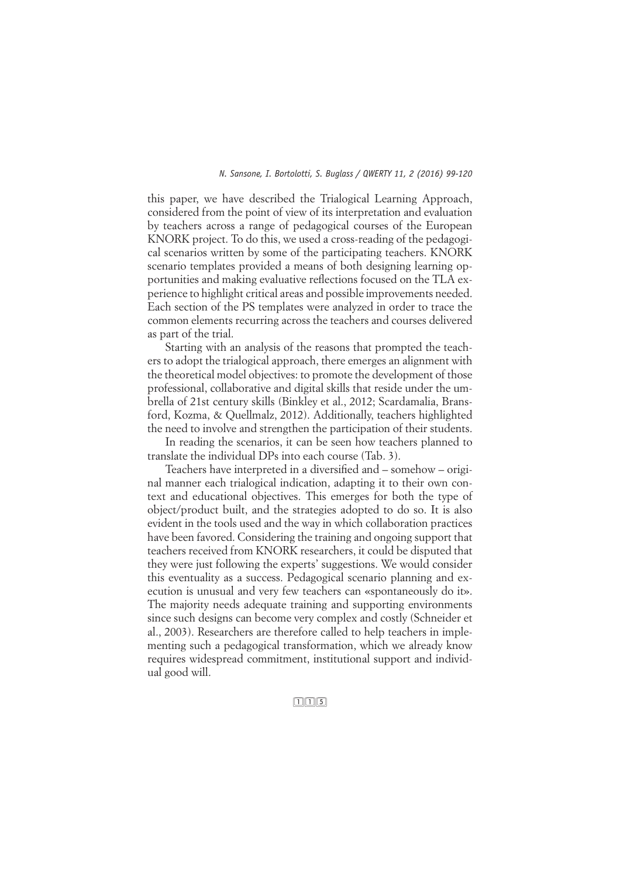this paper, we have described the Trialogical Learning Approach, considered from the point of view of its interpretation and evaluation by teachers across a range of pedagogical courses of the European KNORK project. To do this, we used a cross-reading of the pedagogical scenarios written by some of the participating teachers. KNORK scenario templates provided a means of both designing learning opportunities and making evaluative reflections focused on the TLA experience to highlight critical areas and possible improvements needed. Each section of the PS templates were analyzed in order to trace the common elements recurring across the teachers and courses delivered as part of the trial.

Starting with an analysis of the reasons that prompted the teachers to adopt the trialogical approach, there emerges an alignment with the theoretical model objectives: to promote the development of those professional, collaborative and digital skills that reside under the umbrella of 21st century skills (Binkley et al., 2012; Scardamalia, Bransford, Kozma, & Quellmalz, 2012). Additionally, teachers highlighted the need to involve and strengthen the participation of their students.

In reading the scenarios, it can be seen how teachers planned to translate the individual DPs into each course (Tab. 3).

Teachers have interpreted in a diversified and – somehow – original manner each trialogical indication, adapting it to their own context and educational objectives. This emerges for both the type of object/product built, and the strategies adopted to do so. It is also evident in the tools used and the way in which collaboration practices have been favored. Considering the training and ongoing support that teachers received from KNORK researchers, it could be disputed that they were just following the experts' suggestions. We would consider this eventuality as a success. Pedagogical scenario planning and execution is unusual and very few teachers can «spontaneously do it». The majority needs adequate training and supporting environments since such designs can become very complex and costly (Schneider et al., 2003). Researchers are therefore called to help teachers in implementing such a pedagogical transformation, which we already know requires widespread commitment, institutional support and individual good will.

## $\boxed{\square \square \square \square }$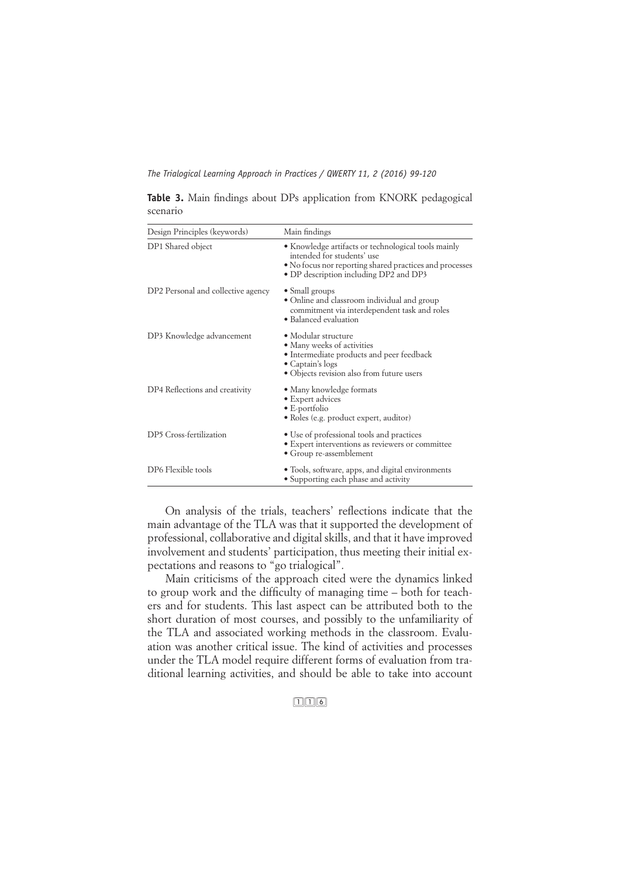Table 3. Main findings about DPs application from KNORK pedagogical scenario

| Design Principles (keywords)       | Main findings                                                                                                                                                                          |
|------------------------------------|----------------------------------------------------------------------------------------------------------------------------------------------------------------------------------------|
| DP1 Shared object                  | • Knowledge artifacts or technological tools mainly<br>intended for students' use<br>• No focus nor reporting shared practices and processes<br>• DP description including DP2 and DP3 |
| DP2 Personal and collective agency | • Small groups<br>· Online and classroom individual and group<br>commitment via interdependent task and roles<br>• Balanced evaluation                                                 |
| DP3 Knowledge advancement          | · Modular structure<br>• Many weeks of activities<br>• Intermediate products and peer feedback<br>• Captain's logs<br>• Objects revision also from future users                        |
| DP4 Reflections and creativity     | • Many knowledge formats<br>• Expert advices<br>$\bullet$ E-portfolio<br>• Roles (e.g. product expert, auditor)                                                                        |
| DP5 Cross-fertilization            | • Use of professional tools and practices<br>• Expert interventions as reviewers or committee<br>• Group re-assemblement                                                               |
| DP6 Flexible tools                 | • Tools, software, apps, and digital environments<br>• Supporting each phase and activity                                                                                              |

On analysis of the trials, teachers' reflections indicate that the main advantage of the TLA was that it supported the development of professional, collaborative and digital skills, and that it have improved involvement and students' participation, thus meeting their initial expectations and reasons to "go trialogical".

Main criticisms of the approach cited were the dynamics linked to group work and the difficulty of managing time – both for teachers and for students. This last aspect can be attributed both to the short duration of most courses, and possibly to the unfamiliarity of the TLA and associated working methods in the classroom. Evaluation was another critical issue. The kind of activities and processes under the TLA model require different forms of evaluation from traditional learning activities, and should be able to take into account

 $\boxed{1}\boxed{1}\boxed{6}$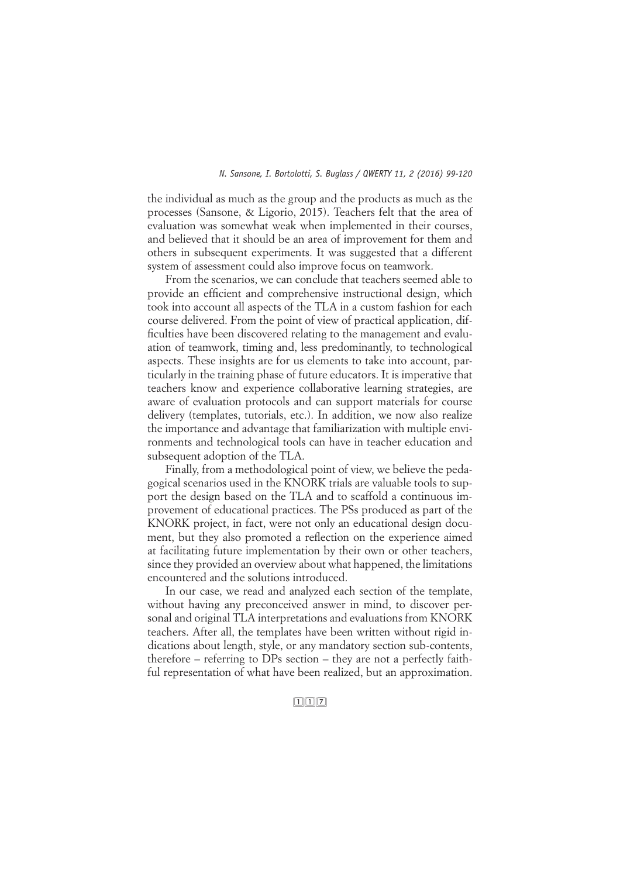the individual as much as the group and the products as much as the processes (Sansone, & Ligorio, 2015). Teachers felt that the area of evaluation was somewhat weak when implemented in their courses, and believed that it should be an area of improvement for them and others in subsequent experiments. It was suggested that a different system of assessment could also improve focus on teamwork.

From the scenarios, we can conclude that teachers seemed able to provide an efficient and comprehensive instructional design, which took into account all aspects of the TLA in a custom fashion for each course delivered. From the point of view of practical application, difficulties have been discovered relating to the management and evaluation of teamwork, timing and, less predominantly, to technological aspects. These insights are for us elements to take into account, particularly in the training phase of future educators. It is imperative that teachers know and experience collaborative learning strategies, are aware of evaluation protocols and can support materials for course delivery (templates, tutorials, etc.). In addition, we now also realize the importance and advantage that familiarization with multiple environments and technological tools can have in teacher education and subsequent adoption of the TLA.

Finally, from a methodological point of view, we believe the pedagogical scenarios used in the KNORK trials are valuable tools to support the design based on the TLA and to scaffold a continuous improvement of educational practices. The PSs produced as part of the KNORK project, in fact, were not only an educational design document, but they also promoted a reflection on the experience aimed at facilitating future implementation by their own or other teachers, since they provided an overview about what happened, the limitations encountered and the solutions introduced.

In our case, we read and analyzed each section of the template, without having any preconceived answer in mind, to discover personal and original TLA interpretations and evaluations from KNORK teachers. After all, the templates have been written without rigid indications about length, style, or any mandatory section sub-contents, therefore – referring to DPs section – they are not a perfectly faithful representation of what have been realized, but an approximation.

 $\boxed{\square \square \square \square}$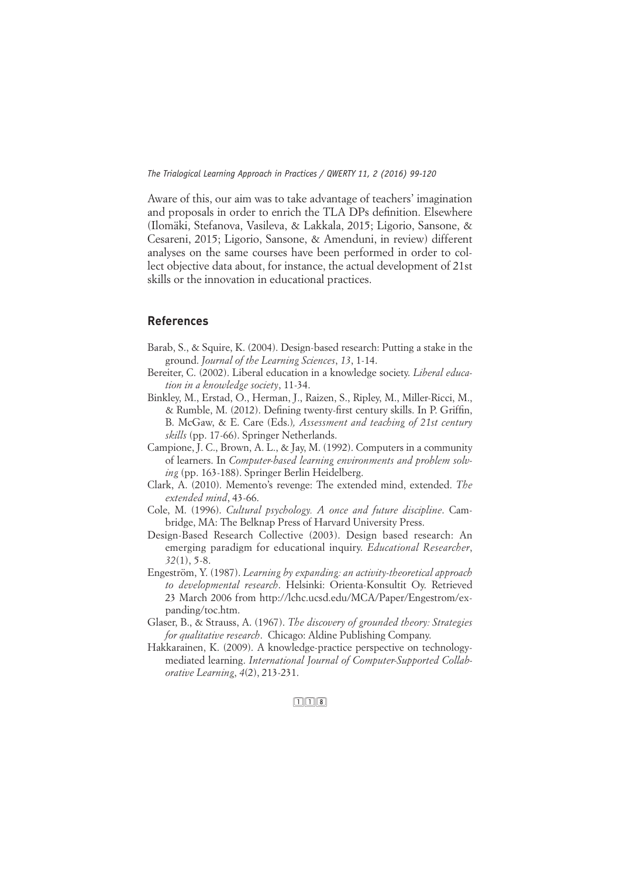Aware of this, our aim was to take advantage of teachers' imagination and proposals in order to enrich the TLA DPs definition. Elsewhere (Ilomäki, Stefanova, Vasileva, & Lakkala, 2015; Ligorio, Sansone, & Cesareni, 2015; Ligorio, Sansone, & Amenduni, in review) different analyses on the same courses have been performed in order to collect objective data about, for instance, the actual development of 21st skills or the innovation in educational practices.

## **References**

- Barab, S., & Squire, K. (2004). Design-based research: Putting a stake in the ground. *Journal of the Learning Sciences*, *13*, 1-14.
- Bereiter, C. (2002). Liberal education in a knowledge society. *Liberal education in a knowledge society*, 11-34.
- Binkley, M., Erstad, O., Herman, J., Raizen, S., Ripley, M., Miller-Ricci, M., & Rumble, M. (2012). Defining twenty-first century skills. In P. Griffin, B. McGaw, & E. Care (Eds.)*, Assessment and teaching of 21st century skills* (pp. 17-66). Springer Netherlands.
- Campione, J. C., Brown, A. L., & Jay, M. (1992). Computers in a community of learners. In *Computer-based learning environments and problem solving* (pp. 163-188). Springer Berlin Heidelberg.
- Clark, A. (2010). Memento's revenge: The extended mind, extended. *The extended mind*, 43-66.
- Cole, M. (1996). *Cultural psychology. A once and future discipline*. Cambridge, MA: The Belknap Press of Harvard University Press.
- Design-Based Research Collective (2003). Design based research: An emerging paradigm for educational inquiry. *Educational Researcher*, *32*(1), 5-8.
- Engeström, Y. (1987). *Learning by expanding: an activity-theoretical approach to developmental research*. Helsinki: Orienta-Konsultit Oy. Retrieved 23 March 2006 from http://lchc.ucsd.edu/MCA/Paper/Engestrom/expanding/toc.htm.
- Glaser, B., & Strauss, A. (1967). *The discovery of grounded theory: Strategies for qualitative research*. Chicago: Aldine Publishing Company.
- Hakkarainen, K. (2009). A knowledge-practice perspective on technologymediated learning. *International Journal of Computer-Supported Collaborative Learning*, *4*(2), 213-231.

## $\boxed{1}\boxed{1}\boxed{8}$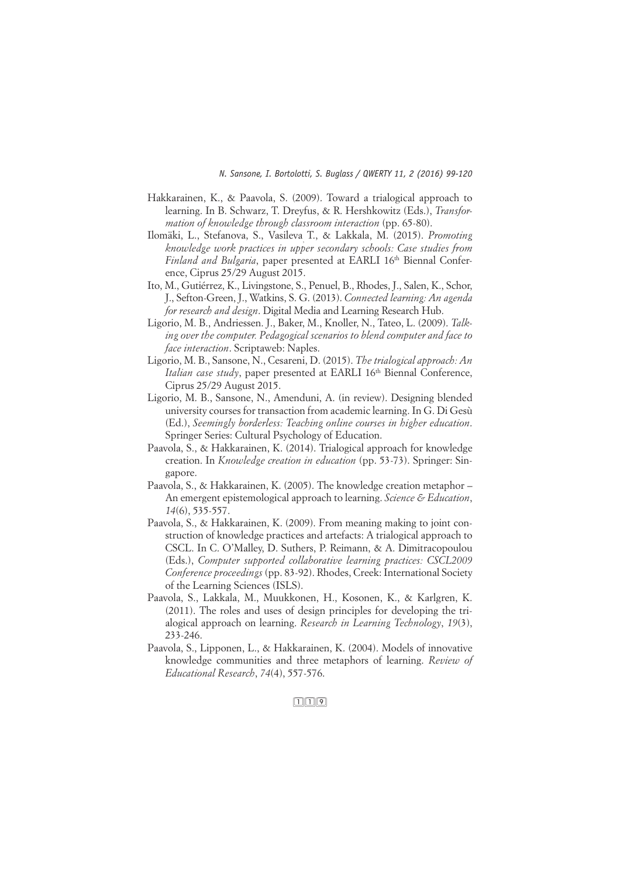- Hakkarainen, K., & Paavola, S. (2009). Toward a trialogical approach to learning. In B. Schwarz, T. Dreyfus, & R. Hershkowitz (Eds.), *Transformation of knowledge through classroom interaction* (pp. 65-80).
- Ilomäki, L., Stefanova, S., Vasileva, T., & Lakkala, M. (2015). *Promoting knowledge work practices in upper secondary schools: Case studies from*  Finland and Bulgaria, paper presented at EARLI 16<sup>th</sup> Biennal Conference, Ciprus 25/29 August 2015.
- Ito, M., Gutiérrez, K., Livingstone, S., Penuel, B., Rhodes, J., Salen, K., Schor, J., Sefton-Green, J., Watkins, S. G. (2013). *Connected learning: An agenda for research and design*. Digital Media and Learning Research Hub.
- Ligorio, M. B., Andriessen. J., Baker, M., Knoller, N., Tateo, L. (2009). *Talking over the computer. Pedagogical scenarios to blend computer and face to face interaction*. Scriptaweb: Naples.
- Ligorio, M. B., Sansone, N., Cesareni, D. (2015). *The trialogical approach: An Italian case study*, paper presented at EARLI 16<sup>th</sup> Biennal Conference, Ciprus 25/29 August 2015.
- Ligorio, M. B., Sansone, N., Amenduni, A. (in review). Designing blended university courses for transaction from academic learning. In G. Di Gesù (Ed.), *Seemingly borderless: Teaching online courses in higher education*. Springer Series: Cultural Psychology of Education.
- Paavola, S., & Hakkarainen, K. (2014). Trialogical approach for knowledge creation. In *Knowledge creation in education* (pp. 53-73). Springer: Singapore.
- Paavola, S., & Hakkarainen, K. (2005). The knowledge creation metaphor An emergent epistemological approach to learning. *Science & Education*, *14*(6), 535-557.
- Paavola, S., & Hakkarainen, K. (2009). From meaning making to joint construction of knowledge practices and artefacts: A trialogical approach to CSCL. In C. O'Malley, D. Suthers, P. Reimann, & A. Dimitracopoulou (Eds.), *Computer supported collaborative learning practices: CSCL2009 Conference proceedings* (pp. 83-92). Rhodes, Creek: International Society of the Learning Sciences (ISLS).
- Paavola, S., Lakkala, M., Muukkonen, H., Kosonen, K., & Karlgren, K. (2011). The roles and uses of design principles for developing the trialogical approach on learning. *Research in Learning Technology*, *19*(3), 233-246.
- Paavola, S., Lipponen, L., & Hakkarainen, K. (2004). Models of innovative knowledge communities and three metaphors of learning. *Review of Educational Research*, *74*(4), 557-576.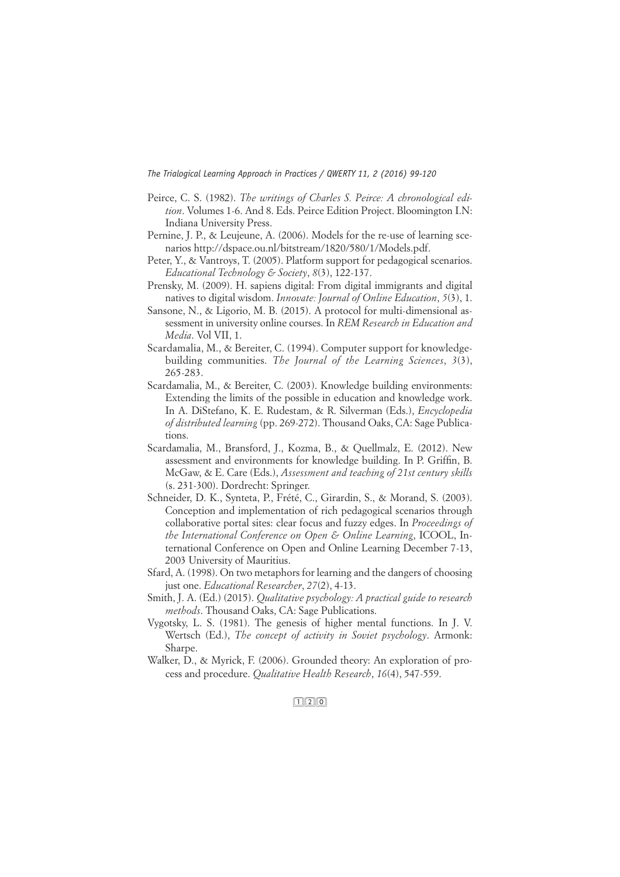- Peirce, C. S. (1982). *The writings of Charles S. Peirce: A chronological edition*. Volumes 1-6. And 8. Eds. Peirce Edition Project. Bloomington I.N: Indiana University Press.
- Pernine, J. P., & Leujeune, A. (2006). Models for the re-use of learning scenarios http://dspace.ou.nl/bitstream/1820/580/1/Models.pdf.
- Peter, Y., & Vantroys, T. (2005). Platform support for pedagogical scenarios. *Educational Technology & Society*, *8*(3), 122-137.
- Prensky, M. (2009). H. sapiens digital: From digital immigrants and digital natives to digital wisdom. *Innovate: Journal of Online Education*, *5*(3), 1.
- Sansone, N., & Ligorio, M. B. (2015). A protocol for multi-dimensional assessment in university online courses. In *REM Research in Education and Media*. Vol VII, 1.
- Scardamalia, M., & Bereiter, C. (1994). Computer support for knowledgebuilding communities. *The Journal of the Learning Sciences*, *3*(3), 265-283.
- Scardamalia, M., & Bereiter, C. (2003). Knowledge building environments: Extending the limits of the possible in education and knowledge work. In A. DiStefano, K. E. Rudestam, & R. Silverman (Eds.), *Encyclopedia of distributed learning* (pp. 269-272). Thousand Oaks, CA: Sage Publications.
- Scardamalia, M., Bransford, J., Kozma, B., & Quellmalz, E. (2012). New assessment and environments for knowledge building. In P. Griffin, B. McGaw, & E. Care (Eds.), *Assessment and teaching of 21st century skills* (s. 231-300). Dordrecht: Springer.
- Schneider, D. K., Synteta, P., Frété, C., Girardin, S., & Morand, S. (2003). Conception and implementation of rich pedagogical scenarios through collaborative portal sites: clear focus and fuzzy edges. In *Proceedings of the International Conference on Open & Online Learning*, ICOOL, International Conference on Open and Online Learning December 7-13, 2003 University of Mauritius.
- Sfard, A. (1998). On two metaphors for learning and the dangers of choosing just one. *Educational Researcher*, *27*(2), 4-13.
- Smith, J. A. (Ed.) (2015). *Qualitative psychology: A practical guide to research methods*. Thousand Oaks, CA: Sage Publications.
- Vygotsky, L. S. (1981). The genesis of higher mental functions. In J. V. Wertsch (Ed.), *The concept of activity in Soviet psychology*. Armonk: Sharpe.
- Walker, D., & Myrick, F. (2006). Grounded theory: An exploration of process and procedure. *Qualitative Health Research*, *16*(4), 547-559.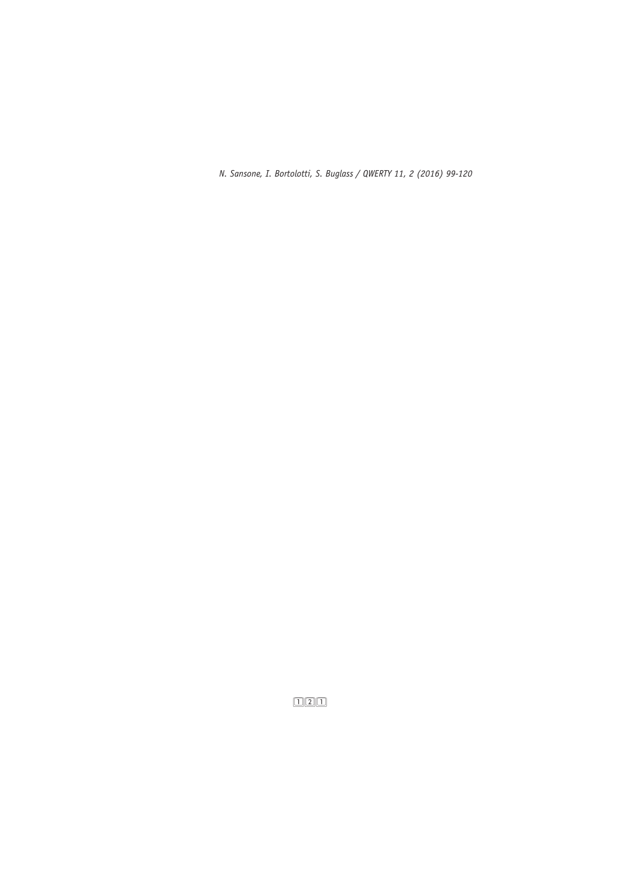$\boxed{1}\boxed{2}\boxed{1}$